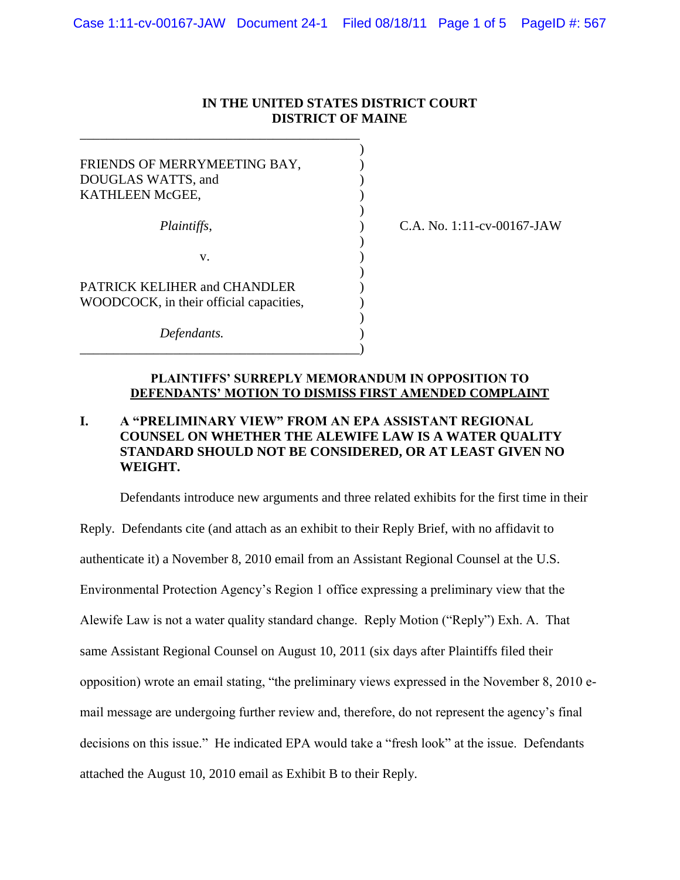### **IN THE UNITED STATES DISTRICT COURT DISTRICT OF MAINE**

)

)

)

)

| FRIENDS OF MERRYMEETING BAY,<br>DOUGLAS WATTS, and<br>KATHLEEN McGEE,   |  |
|-------------------------------------------------------------------------|--|
| Plaintiffs,                                                             |  |
| V.                                                                      |  |
| PATRICK KELIHER and CHANDLER<br>WOODCOCK, in their official capacities, |  |
| Defendants.                                                             |  |

\_\_\_\_\_\_\_\_\_\_\_\_\_\_\_\_\_\_\_\_\_\_\_\_\_\_\_\_\_\_\_\_\_\_\_\_\_\_\_\_\_\_

*Plaintiffs*, ) C.A. No. 1:11-cv-00167-JAW

### **PLAINTIFFS' SURREPLY MEMORANDUM IN OPPOSITION TO DEFENDANTS' MOTION TO DISMISS FIRST AMENDED COMPLAINT**

## **I. A "PRELIMINARY VIEW" FROM AN EPA ASSISTANT REGIONAL COUNSEL ON WHETHER THE ALEWIFE LAW IS A WATER QUALITY STANDARD SHOULD NOT BE CONSIDERED, OR AT LEAST GIVEN NO WEIGHT.**

Defendants introduce new arguments and three related exhibits for the first time in their Reply. Defendants cite (and attach as an exhibit to their Reply Brief, with no affidavit to authenticate it) a November 8, 2010 email from an Assistant Regional Counsel at the U.S. Environmental Protection Agency's Region 1 office expressing a preliminary view that the Alewife Law is not a water quality standard change. Reply Motion ("Reply") Exh. A. That same Assistant Regional Counsel on August 10, 2011 (six days after Plaintiffs filed their opposition) wrote an email stating, "the preliminary views expressed in the November 8, 2010 email message are undergoing further review and, therefore, do not represent the agency's final decisions on this issue." He indicated EPA would take a "fresh look" at the issue. Defendants attached the August 10, 2010 email as Exhibit B to their Reply.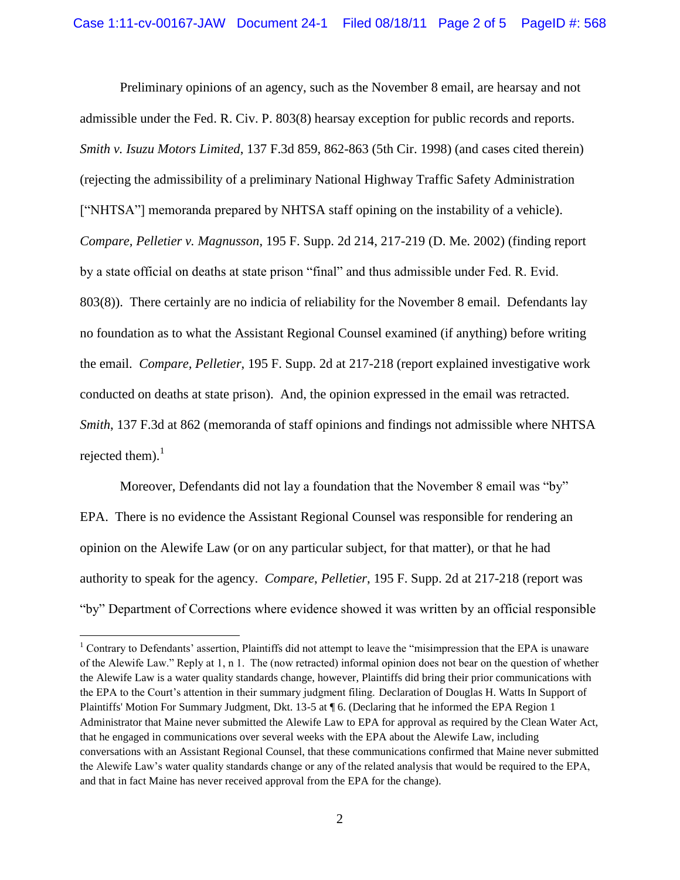Preliminary opinions of an agency, such as the November 8 email, are hearsay and not admissible under the Fed. R. Civ. P. 803(8) hearsay exception for public records and reports. *Smith v. Isuzu Motors Limited*, 137 F.3d 859, 862-863 (5th Cir. 1998) (and cases cited therein) (rejecting the admissibility of a preliminary National Highway Traffic Safety Administration ["NHTSA"] memoranda prepared by NHTSA staff opining on the instability of a vehicle). *Compare, Pelletier v. Magnusson*, 195 F. Supp. 2d 214, 217-219 (D. Me. 2002) (finding report by a state official on deaths at state prison "final" and thus admissible under Fed. R. Evid. 803(8)). There certainly are no indicia of reliability for the November 8 email. Defendants lay no foundation as to what the Assistant Regional Counsel examined (if anything) before writing the email. *Compare, Pelletier*, 195 F. Supp. 2d at 217-218 (report explained investigative work conducted on deaths at state prison). And, the opinion expressed in the email was retracted. *Smith*, 137 F.3d at 862 (memoranda of staff opinions and findings not admissible where NHTSA rejected them). $1$ 

Moreover, Defendants did not lay a foundation that the November 8 email was "by" EPA. There is no evidence the Assistant Regional Counsel was responsible for rendering an opinion on the Alewife Law (or on any particular subject, for that matter), or that he had authority to speak for the agency. *Compare*, *Pelletier*, 195 F. Supp. 2d at 217-218 (report was "by" Department of Corrections where evidence showed it was written by an official responsible

 $\overline{a}$ 

<sup>&</sup>lt;sup>1</sup> Contrary to Defendants' assertion, Plaintiffs did not attempt to leave the "misimpression that the EPA is unaware of the Alewife Law." Reply at 1, n 1. The (now retracted) informal opinion does not bear on the question of whether the Alewife Law is a water quality standards change, however, Plaintiffs did bring their prior communications with the EPA to the Court's attention in their summary judgment filing. Declaration of Douglas H. Watts In Support of Plaintiffs' Motion For Summary Judgment, Dkt. 13-5 at ¶ 6. (Declaring that he informed the EPA Region 1 Administrator that Maine never submitted the Alewife Law to EPA for approval as required by the Clean Water Act, that he engaged in communications over several weeks with the EPA about the Alewife Law, including conversations with an Assistant Regional Counsel, that these communications confirmed that Maine never submitted the Alewife Law's water quality standards change or any of the related analysis that would be required to the EPA, and that in fact Maine has never received approval from the EPA for the change).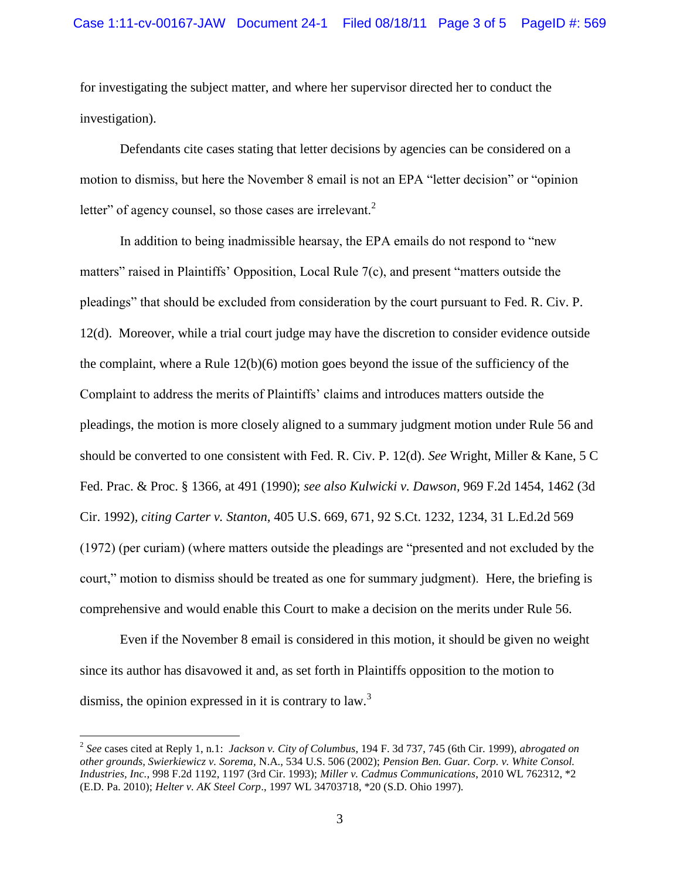for investigating the subject matter, and where her supervisor directed her to conduct the investigation).

Defendants cite cases stating that letter decisions by agencies can be considered on a motion to dismiss, but here the November 8 email is not an EPA "letter decision" or "opinion letter" of agency counsel, so those cases are irrelevant. $2$ 

In addition to being inadmissible hearsay, the EPA emails do not respond to "new matters" raised in Plaintiffs' Opposition, Local Rule 7(c), and present "matters outside the pleadings" that should be excluded from consideration by the court pursuant to Fed. R. Civ. P. 12(d). Moreover, while a trial court judge may have the discretion to consider evidence outside the complaint, where a Rule  $12(b)(6)$  motion goes beyond the issue of the sufficiency of the Complaint to address the merits of Plaintiffs' claims and introduces matters outside the pleadings, the motion is more closely aligned to a summary judgment motion under Rule 56 and should be converted to one consistent with Fed. R. Civ. P. 12(d). *See* Wright, Miller & Kane, 5 C Fed. Prac. & Proc. § 1366, at 491 (1990); *see also Kulwicki v. Dawson,* 969 F.2d 1454, 1462 (3d Cir. 1992)*, citing Carter v. Stanton,* 405 U.S. 669, 671, 92 S.Ct. 1232, 1234, 31 L.Ed.2d 569 (1972) (per curiam) (where matters outside the pleadings are "presented and not excluded by the court," motion to dismiss should be treated as one for summary judgment). Here, the briefing is comprehensive and would enable this Court to make a decision on the merits under Rule 56.

Even if the November 8 email is considered in this motion, it should be given no weight since its author has disavowed it and, as set forth in Plaintiffs opposition to the motion to dismiss, the opinion expressed in it is contrary to law.<sup>3</sup>

 $\overline{a}$ 

<sup>2</sup> *See* cases cited at Reply 1, n.1: *Jackson v. City of Columbus*, 194 F. 3d 737, 745 (6th Cir. 1999), *abrogated on other grounds, Swierkiewicz v. Sorema,* N.A., 534 U.S. 506 (2002); *Pension Ben. Guar. Corp. v. White Consol. Industries, Inc.*, 998 F.2d 1192, 1197 (3rd Cir. 1993); *Miller v. Cadmus Communications*, 2010 WL 762312, \*2 (E.D. Pa. 2010); *Helter v. AK Steel Corp*., 1997 WL 34703718, \*20 (S.D. Ohio 1997).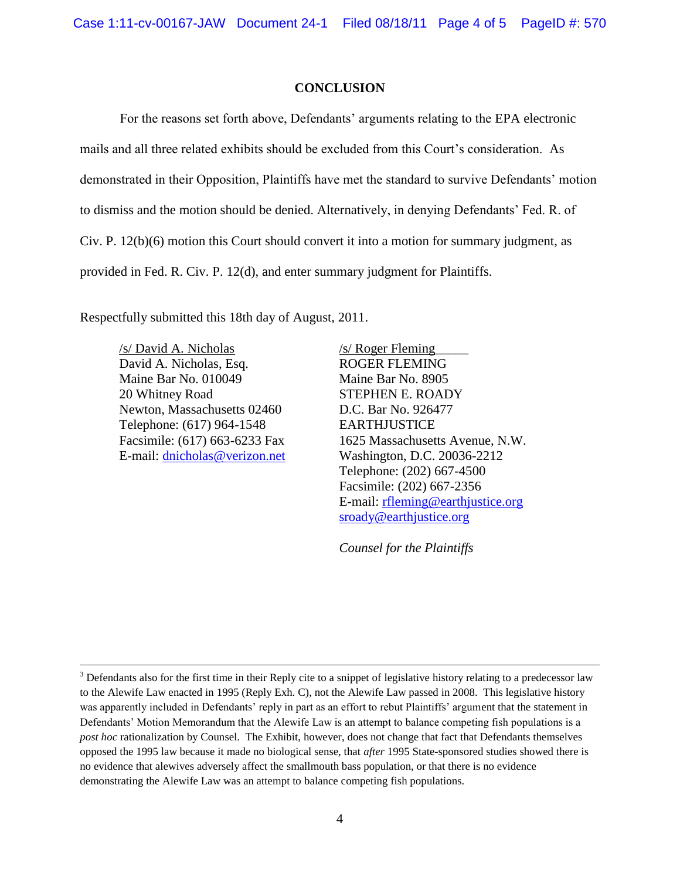#### **CONCLUSION**

For the reasons set forth above, Defendants' arguments relating to the EPA electronic mails and all three related exhibits should be excluded from this Court's consideration. As demonstrated in their Opposition, Plaintiffs have met the standard to survive Defendants' motion to dismiss and the motion should be denied. Alternatively, in denying Defendants' Fed. R. of Civ. P. 12(b)(6) motion this Court should convert it into a motion for summary judgment, as provided in Fed. R. Civ. P. 12(d), and enter summary judgment for Plaintiffs.

Respectfully submitted this 18th day of August, 2011.

/s/ David A. Nicholas David A. Nicholas, Esq. Maine Bar No. 010049 20 Whitney Road Newton, Massachusetts 02460 Telephone: (617) 964-1548 Facsimile: (617) 663-6233 Fax E-mail: [dnicholas@verizon.net](mailto:dnicholas@verizon.net)

 $\overline{a}$ 

/s/ Roger Fleming\_\_\_\_\_ ROGER FLEMING Maine Bar No. 8905 STEPHEN E. ROADY D.C. Bar No. 926477 EARTHJUSTICE 1625 Massachusetts Avenue, N.W. Washington, D.C. 20036-2212 Telephone: (202) 667-4500 Facsimile: (202) 667-2356 E-mail: [rfleming@earthjustice.org](mailto:rfleming@earthjustice.org) [sroady@earthjustice.org](mailto:sroady@earthjustice.org)

*Counsel for the Plaintiffs*

<sup>&</sup>lt;sup>3</sup> Defendants also for the first time in their Reply cite to a snippet of legislative history relating to a predecessor law to the Alewife Law enacted in 1995 (Reply Exh. C), not the Alewife Law passed in 2008. This legislative history was apparently included in Defendants' reply in part as an effort to rebut Plaintiffs' argument that the statement in Defendants' Motion Memorandum that the Alewife Law is an attempt to balance competing fish populations is a *post hoc* rationalization by Counsel. The Exhibit, however, does not change that fact that Defendants themselves opposed the 1995 law because it made no biological sense, that *after* 1995 State-sponsored studies showed there is no evidence that alewives adversely affect the smallmouth bass population, or that there is no evidence demonstrating the Alewife Law was an attempt to balance competing fish populations.